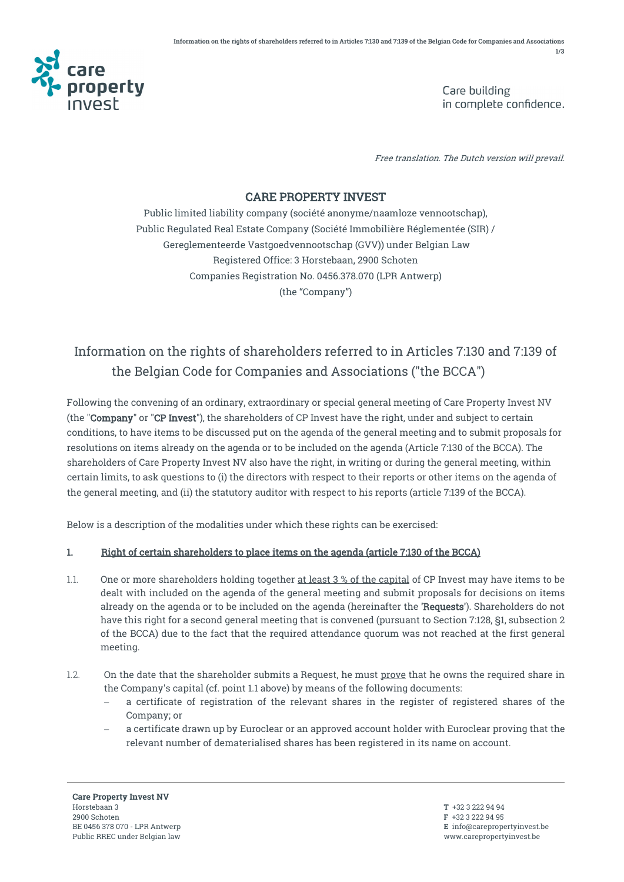

Care building in complete confidence.

Free translation. The Dutch version will prevail.

## CARE PROPERTY INVEST

Public limited liability company (société anonyme/naamloze vennootschap), Public Regulated Real Estate Company (Société Immobilière Réglementée (SIR) / Gereglementeerde Vastgoedvennootschap (GVV)) under Belgian Law Registered Office: 3 Horstebaan, 2900 Schoten Companies Registration No. 0456.378.070 (LPR Antwerp) (the "Company")

## Information on the rights of shareholders referred to in Articles 7:130 and 7:139 of the Belgian Code for Companies and Associations ("the BCCA")

Following the convening of an ordinary, extraordinary or special general meeting of Care Property Invest NV (the "Company" or "CP Invest"), the shareholders of CP Invest have the right, under and subject to certain conditions, to have items to be discussed put on the agenda of the general meeting and to submit proposals for resolutions on items already on the agenda or to be included on the agenda (Article 7:130 of the BCCA). The shareholders of Care Property Invest NV also have the right, in writing or during the general meeting, within certain limits, to ask questions to (i) the directors with respect to their reports or other items on the agenda of the general meeting, and (ii) the statutory auditor with respect to his reports (article 7:139 of the BCCA).

Below is a description of the modalities under which these rights can be exercised:

## 1. Right of certain shareholders to place items on the agenda (article 7:130 of the BCCA)

- 1.1. One or more shareholders holding together at least 3 % of the capital of CP Invest may have items to be dealt with included on the agenda of the general meeting and submit proposals for decisions on items already on the agenda or to be included on the agenda (hereinafter the 'Requests'). Shareholders do not have this right for a second general meeting that is convened (pursuant to Section 7:128, §1, subsection 2 of the BCCA) due to the fact that the required attendance quorum was not reached at the first general meeting.
- 1.2. On the date that the shareholder submits a Request, he must prove that he owns the required share in the Company's capital (cf. point 1.1 above) by means of the following documents:
	- a certificate of registration of the relevant shares in the register of registered shares of the Company; or
	- a certificate drawn up by Euroclear or an approved account holder with Euroclear proving that the relevant number of dematerialised shares has been registered in its name on account.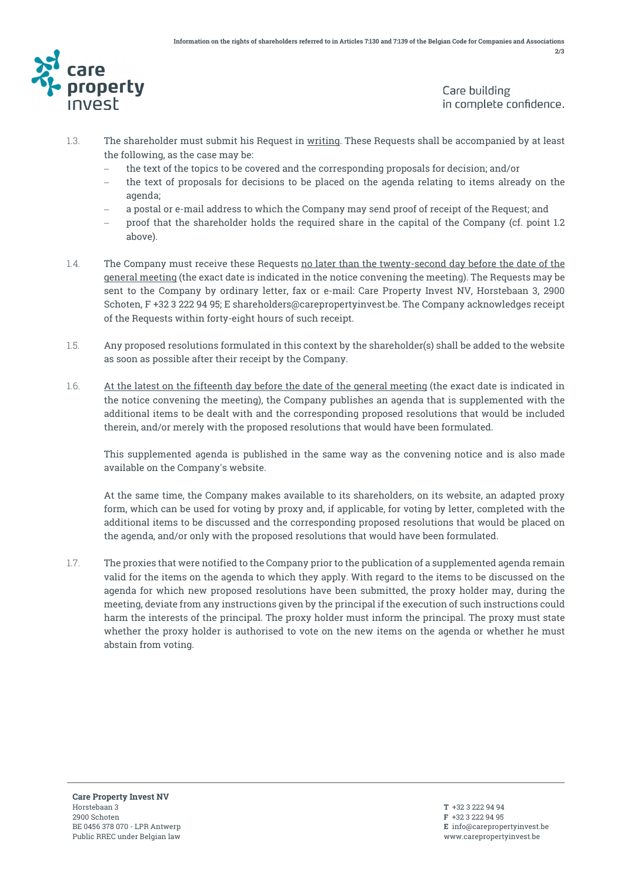

Care building in complete confidence.

- 1.3. The shareholder must submit his Request in writing. These Requests shall be accompanied by at least the following, as the case may be:
	- the text of the topics to be covered and the corresponding proposals for decision; and/or
	- − the text of proposals for decisions to be placed on the agenda relating to items already on the agenda;
	- − a postal or e-mail address to which the Company may send proof of receipt of the Request; and
	- − proof that the shareholder holds the required share in the capital of the Company (cf. point 1.2 above).
- 1.4. The Company must receive these Requests no later than the twenty-second day before the date of the general meeting (the exact date is indicated in the notice convening the meeting). The Requests may be sent to the Company by ordinary letter, fax or e-mail: Care Property Invest NV, Horstebaan 3, 2900 Schoten, F +32 3 222 94 95; E shareholders@carepropertyinvest.be. The Company acknowledges receipt of the Requests within forty-eight hours of such receipt.
- 1.5. Any proposed resolutions formulated in this context by the shareholder(s) shall be added to the website as soon as possible after their receipt by the Company.
- 1.6. At the latest on the fifteenth day before the date of the general meeting (the exact date is indicated in the notice convening the meeting), the Company publishes an agenda that is supplemented with the additional items to be dealt with and the corresponding proposed resolutions that would be included therein, and/or merely with the proposed resolutions that would have been formulated.

This supplemented agenda is published in the same way as the convening notice and is also made available on the Company's website.

At the same time, the Company makes available to its shareholders, on its website, an adapted proxy form, which can be used for voting by proxy and, if applicable, for voting by letter, completed with the additional items to be discussed and the corresponding proposed resolutions that would be placed on the agenda, and/or only with the proposed resolutions that would have been formulated.

1.7. The proxies that were notified to the Company prior to the publication of a supplemented agenda remain valid for the items on the agenda to which they apply. With regard to the items to be discussed on the agenda for which new proposed resolutions have been submitted, the proxy holder may, during the meeting, deviate from any instructions given by the principal if the execution of such instructions could harm the interests of the principal. The proxy holder must inform the principal. The proxy must state whether the proxy holder is authorised to vote on the new items on the agenda or whether he must abstain from voting.